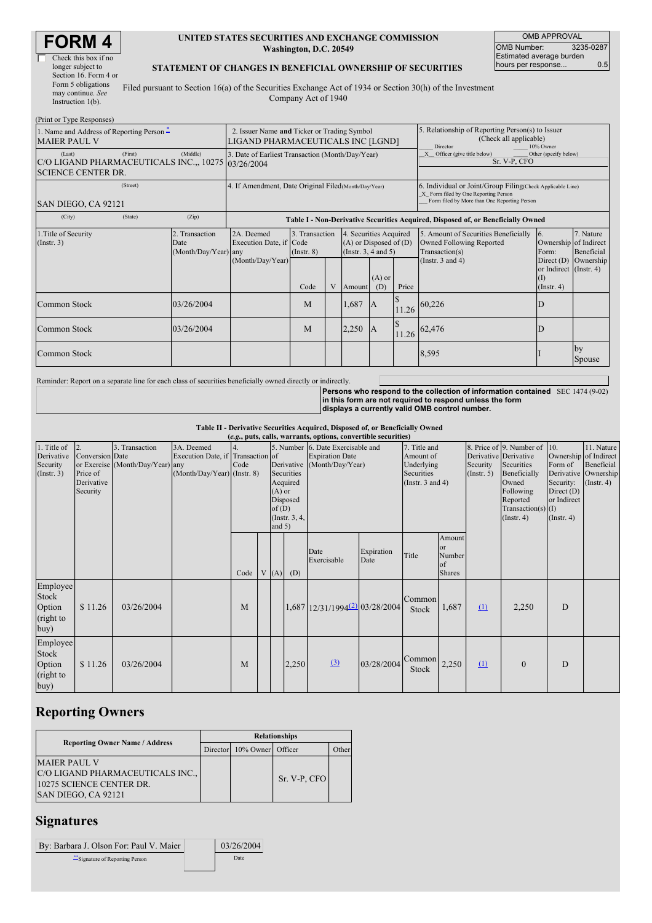| RM                   |  |
|----------------------|--|
| Check this box if no |  |

Check this box if no longer subject to Section 16. Form 4 or Form 5 obligations may continue. *See* Instruction 1(b).

#### **UNITED STATES SECURITIES AND EXCHANGE COMMISSION Washington, D.C. 20549**

OMB APPROVAL OMB Number: 3235-0287 Estimated average burden hours per response... 0.5

### **STATEMENT OF CHANGES IN BENEFICIAL OWNERSHIP OF SECURITIES**

Filed pursuant to Section 16(a) of the Securities Exchange Act of 1934 or Section 30(h) of the Investment Company Act of 1940

| (Print or Type Responses)                                                                 |                                                                                  |                                                |                                                                                  |                                   |  |                                                                                  |                                                                                                     |       |                                                                                                                                                    |                                                                  |                                                               |  |
|-------------------------------------------------------------------------------------------|----------------------------------------------------------------------------------|------------------------------------------------|----------------------------------------------------------------------------------|-----------------------------------|--|----------------------------------------------------------------------------------|-----------------------------------------------------------------------------------------------------|-------|----------------------------------------------------------------------------------------------------------------------------------------------------|------------------------------------------------------------------|---------------------------------------------------------------|--|
| 1. Name and Address of Reporting Person $\tilde{-}$<br><b>MAIER PAUL V</b>                | 2. Issuer Name and Ticker or Trading Symbol<br>LIGAND PHARMACEUTICALS INC [LGND] |                                                |                                                                                  |                                   |  |                                                                                  | 5. Relationship of Reporting Person(s) to Issuer<br>(Check all applicable)<br>Director<br>10% Owner |       |                                                                                                                                                    |                                                                  |                                                               |  |
| (Last)<br>C/O LIGAND PHARMACEUTICALS INC.,, 10275 03/26/2004<br><b>SCIENCE CENTER DR.</b> | 3. Date of Earliest Transaction (Month/Day/Year)                                 |                                                |                                                                                  |                                   |  | Officer (give title below)<br>Other (specify below)<br>Sr. V-P, CFO              |                                                                                                     |       |                                                                                                                                                    |                                                                  |                                                               |  |
| (Street)<br>SAN DIEGO, CA 92121                                                           |                                                                                  |                                                | 4. If Amendment, Date Original Filed (Month/Day/Year)                            |                                   |  |                                                                                  |                                                                                                     |       | 6. Individual or Joint/Group Filing(Check Applicable Line)<br>X Form filed by One Reporting Person<br>Form filed by More than One Reporting Person |                                                                  |                                                               |  |
| (City)                                                                                    | (State)                                                                          | (Zip)                                          | Table I - Non-Derivative Securities Acquired, Disposed of, or Beneficially Owned |                                   |  |                                                                                  |                                                                                                     |       |                                                                                                                                                    |                                                                  |                                                               |  |
| 1. Title of Security<br>(Insert. 3)                                                       |                                                                                  | 2. Transaction<br>Date<br>(Month/Day/Year) any | 2A. Deemed<br>Execution Date, if Code<br>(Month/Day/Year)                        | 3. Transaction<br>$($ Instr. $8)$ |  | 4. Securities Acquired<br>$(A)$ or Disposed of $(D)$<br>(Instr. $3, 4$ and $5$ ) |                                                                                                     |       | 5. Amount of Securities Beneficially<br>Owned Following Reported<br>Transaction(s)<br>(Instr. $3$ and $4$ )                                        | <sup>6.</sup><br>Form:<br>Direct $(D)$<br>or Indirect (Instr. 4) | 7. Nature<br>Ownership of Indirect<br>Beneficial<br>Ownership |  |
|                                                                                           |                                                                                  |                                                |                                                                                  | Code                              |  | Amount                                                                           | $(A)$ or<br>(D)                                                                                     | Price |                                                                                                                                                    | (I)<br>$($ Instr. 4 $)$                                          |                                                               |  |
| Common Stock                                                                              |                                                                                  | 03/26/2004                                     |                                                                                  | M                                 |  | 1,687                                                                            | - IA                                                                                                |       | $11.26$ 60,226                                                                                                                                     | D                                                                |                                                               |  |
| Common Stock                                                                              |                                                                                  | 03/26/2004                                     |                                                                                  | M                                 |  | 2,250                                                                            | <sup>1</sup> A                                                                                      |       | $11.26$ 62,476                                                                                                                                     | D                                                                |                                                               |  |
| Common Stock                                                                              |                                                                                  |                                                |                                                                                  |                                   |  |                                                                                  |                                                                                                     |       | 8,595                                                                                                                                              |                                                                  | by<br>Spouse                                                  |  |

Reminder: Report on a separate line for each class of securities beneficially owned directly or indirectly.

**Persons who respond to the collection of information contained** SEC 1474 (9-02) **in this form are not required to respond unless the form**

**displays a currently valid OMB control number.**

**Table II - Derivative Securities Acquired, Disposed of, or Beneficially Owned**

|             | (e.g., puts, calls, warrants, options, convertible securities) |                                  |                                   |      |  |          |               |                                              |            |                       |               |                       |                          |                       |                  |
|-------------|----------------------------------------------------------------|----------------------------------|-----------------------------------|------|--|----------|---------------|----------------------------------------------|------------|-----------------------|---------------|-----------------------|--------------------------|-----------------------|------------------|
| 1. Title of | $\overline{2}$                                                 | 3. Transaction                   | 3A. Deemed                        | 4.   |  |          |               | 5. Number 6. Date Exercisable and            |            | 7. Title and          |               |                       | 8. Price of 9. Number of | 10.                   | 11. Nature       |
| Derivative  | Conversion Date                                                |                                  | Execution Date, if Transaction of |      |  |          |               | <b>Expiration Date</b>                       |            | Amount of             |               | Derivative Derivative |                          | Ownership of Indirect |                  |
| Security    |                                                                | or Exercise (Month/Day/Year) any |                                   | Code |  |          |               | Derivative (Month/Day/Year)                  |            | Underlying            |               | Security              | Securities               | Form of               | Beneficial       |
| (Insert. 3) | Price of                                                       |                                  | (Month/Day/Year) (Instr. 8)       |      |  |          | Securities    |                                              |            | Securities            |               | $($ Instr. 5 $)$      | Beneficially             | Derivative Ownership  |                  |
|             | Derivative                                                     |                                  |                                   |      |  |          | Acquired      |                                              |            | (Instr. $3$ and $4$ ) |               |                       | Owned                    | Security:             | $($ Instr. 4 $)$ |
|             | Security                                                       |                                  |                                   |      |  | $(A)$ or |               |                                              |            |                       |               |                       | Following                | Direct $(D)$          |                  |
|             |                                                                |                                  |                                   |      |  |          | Disposed      |                                              |            |                       |               |                       | Reported                 | or Indirect           |                  |
|             |                                                                |                                  |                                   |      |  | of(D)    |               |                                              |            |                       |               |                       | Transaction(s) $(I)$     |                       |                  |
|             |                                                                |                                  |                                   |      |  |          | (Instr. 3, 4, |                                              |            |                       |               |                       | $($ Instr. 4 $)$         | $($ Instr. 4 $)$      |                  |
|             |                                                                |                                  |                                   |      |  | and $5)$ |               |                                              |            |                       |               |                       |                          |                       |                  |
|             |                                                                |                                  |                                   |      |  |          |               |                                              |            |                       | Amount        |                       |                          |                       |                  |
|             |                                                                |                                  |                                   |      |  |          |               | Date                                         | Expiration |                       | or            |                       |                          |                       |                  |
|             |                                                                |                                  |                                   |      |  |          |               | Exercisable                                  | Date       | Title                 | Number        |                       |                          |                       |                  |
|             |                                                                |                                  |                                   |      |  |          |               |                                              |            |                       | of            |                       |                          |                       |                  |
|             |                                                                |                                  |                                   | Code |  | V(A)     | (D)           |                                              |            |                       | <b>Shares</b> |                       |                          |                       |                  |
| Employee    |                                                                |                                  |                                   |      |  |          |               |                                              |            |                       |               |                       |                          |                       |                  |
| Stock       |                                                                |                                  |                                   |      |  |          |               |                                              |            | Common                |               |                       |                          |                       |                  |
| Option      | \$11.26                                                        | 03/26/2004                       |                                   | M    |  |          |               | $1,687$ 12/31/1994 <sup>(2)</sup> 03/28/2004 |            |                       | 1,687         | $\Omega$              | 2,250                    | D                     |                  |
|             |                                                                |                                  |                                   |      |  |          |               |                                              |            | Stock                 |               |                       |                          |                       |                  |
| (right to   |                                                                |                                  |                                   |      |  |          |               |                                              |            |                       |               |                       |                          |                       |                  |
| buy)        |                                                                |                                  |                                   |      |  |          |               |                                              |            |                       |               |                       |                          |                       |                  |
| Employee    |                                                                |                                  |                                   |      |  |          |               |                                              |            |                       |               |                       |                          |                       |                  |
| Stock       |                                                                |                                  |                                   |      |  |          |               |                                              |            |                       |               |                       |                          |                       |                  |
| Option      | \$11.26                                                        | 03/26/2004                       |                                   | M    |  |          | 2,250         | $\left( \frac{3}{2} \right)$                 | 03/28/2004 | Common                | 2,250         | $\Omega$              | $\mathbf{0}$             | D                     |                  |
|             |                                                                |                                  |                                   |      |  |          |               |                                              |            | Stock                 |               |                       |                          |                       |                  |
| (right to   |                                                                |                                  |                                   |      |  |          |               |                                              |            |                       |               |                       |                          |                       |                  |
| buy)        |                                                                |                                  |                                   |      |  |          |               |                                              |            |                       |               |                       |                          |                       |                  |

### **Reporting Owners**

|                                                                                                            | <b>Relationships</b> |                            |              |       |  |  |  |  |
|------------------------------------------------------------------------------------------------------------|----------------------|----------------------------|--------------|-------|--|--|--|--|
| <b>Reporting Owner Name / Address</b>                                                                      |                      | Director 10% Owner Officer |              | Other |  |  |  |  |
| <b>MAIER PAUL V</b><br>C/O LIGAND PHARMACEUTICALS INC.,<br>10275 SCIENCE CENTER DR.<br>SAN DIEGO, CA 92121 |                      |                            | Sr. V-P, CFO |       |  |  |  |  |

# **Signatures**

| By: Barbara J. Olson For: Paul V. Maier | 03/26/2004 |
|-----------------------------------------|------------|
| Signature of Reporting Person           | Date       |